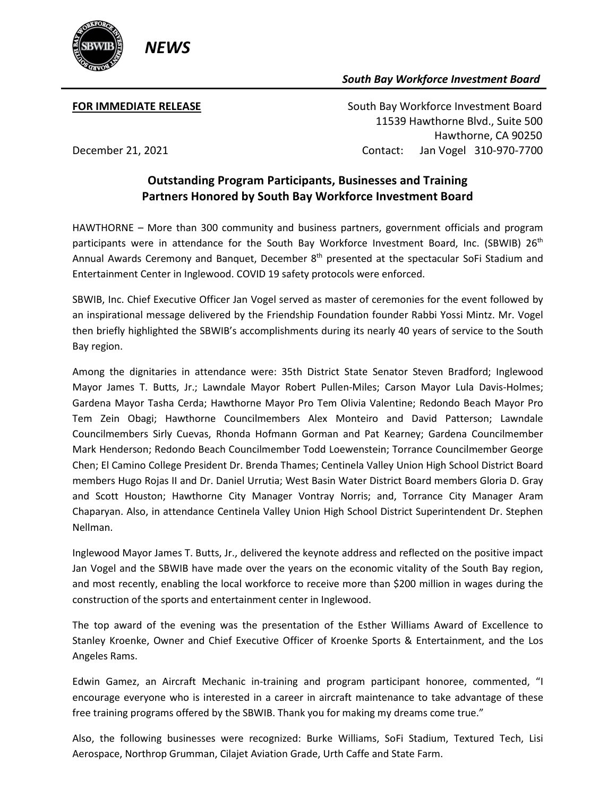

## *South Bay Workforce Investment Board*

**FOR IMMEDIATE RELEASE South Bay Workforce Investment Board**  11539 Hawthorne Blvd., Suite 500 Hawthorne, CA 90250 December 21, 2021 Contact: Jan Vogel 310-970-7700

## **Outstanding Program Participants, Businesses and Training Partners Honored by South Bay Workforce Investment Board**

HAWTHORNE – More than 300 community and business partners, government officials and program participants were in attendance for the South Bay Workforce Investment Board, Inc. (SBWIB) 26<sup>th</sup> Annual Awards Ceremony and Banquet, December 8<sup>th</sup> presented at the spectacular SoFi Stadium and Entertainment Center in Inglewood. COVID 19 safety protocols were enforced.

SBWIB, Inc. Chief Executive Officer Jan Vogel served as master of ceremonies for the event followed by an inspirational message delivered by the Friendship Foundation founder Rabbi Yossi Mintz. Mr. Vogel then briefly highlighted the SBWIB's accomplishments during its nearly 40 years of service to the South Bay region.

Among the dignitaries in attendance were: 35th District State Senator Steven Bradford; Inglewood Mayor James T. Butts, Jr.; Lawndale Mayor Robert Pullen-Miles; Carson Mayor Lula Davis-Holmes; Gardena Mayor Tasha Cerda; Hawthorne Mayor Pro Tem Olivia Valentine; Redondo Beach Mayor Pro Tem Zein Obagi; Hawthorne Councilmembers Alex Monteiro and David Patterson; Lawndale Councilmembers Sirly Cuevas, Rhonda Hofmann Gorman and Pat Kearney; Gardena Councilmember Mark Henderson; Redondo Beach Councilmember Todd Loewenstein; Torrance Councilmember George Chen; El Camino College President Dr. Brenda Thames; Centinela Valley Union High School District Board members Hugo Rojas II and Dr. Daniel Urrutia; West Basin Water District Board members Gloria D. Gray and Scott Houston; Hawthorne City Manager Vontray Norris; and, Torrance City Manager Aram Chaparyan. Also, in attendance Centinela Valley Union High School District Superintendent Dr. Stephen Nellman.

Inglewood Mayor James T. Butts, Jr., delivered the keynote address and reflected on the positive impact Jan Vogel and the SBWIB have made over the years on the economic vitality of the South Bay region, and most recently, enabling the local workforce to receive more than \$200 million in wages during the construction of the sports and entertainment center in Inglewood.

The top award of the evening was the presentation of the Esther Williams Award of Excellence to Stanley Kroenke, Owner and Chief Executive Officer of Kroenke Sports & Entertainment, and the Los Angeles Rams.

Edwin Gamez, an Aircraft Mechanic in-training and program participant honoree, commented, "I encourage everyone who is interested in a career in aircraft maintenance to take advantage of these free training programs offered by the SBWIB. Thank you for making my dreams come true."

Also, the following businesses were recognized: Burke Williams, SoFi Stadium, Textured Tech, Lisi Aerospace, Northrop Grumman, Cilajet Aviation Grade, Urth Caffe and State Farm.